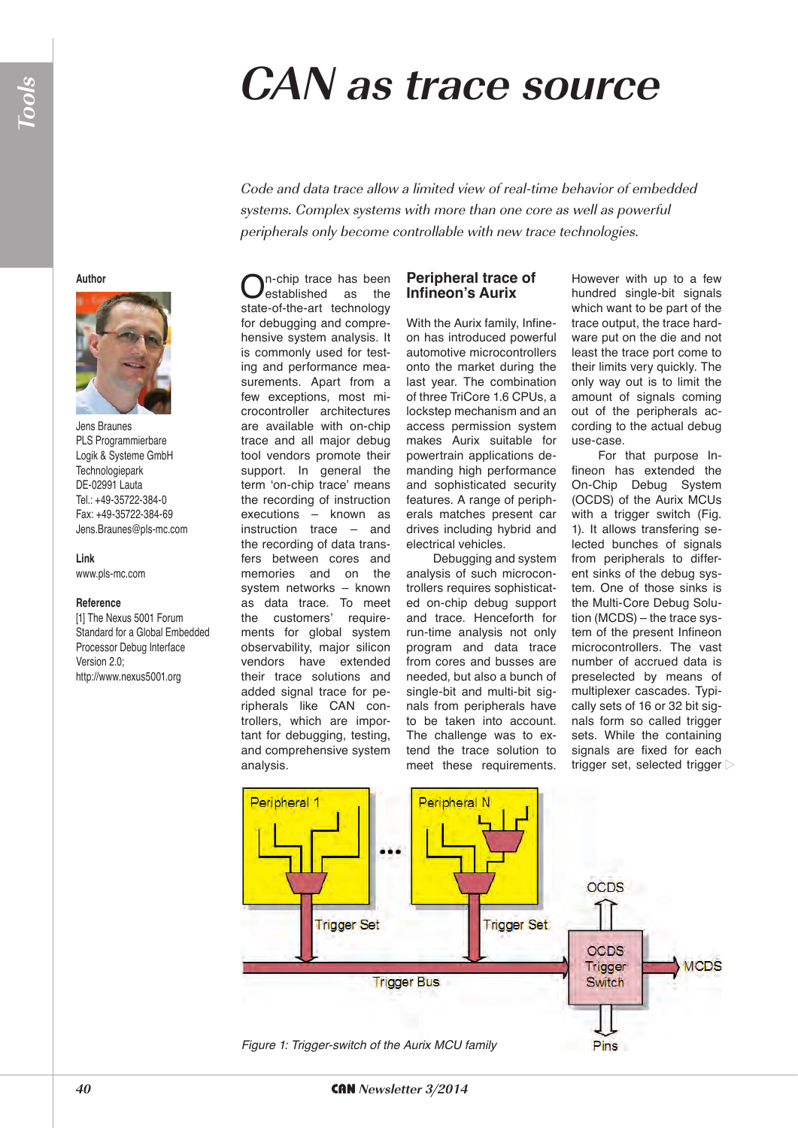**Author**

Jens Braunes PLS Programmierbare Logik & Systeme GmbH **Technologiepark** DE-02991 Lauta Tel.: +49-35722-384-0 Fax: +49-35722-384-69 Jens.Braunes@pls-mc.com

**Link**

www.pls-mc.com

[1] The Nexus 5001 Forum Standard for a Global Embedded Processor Debug Interface

http://www.nexus5001.org

**Reference**

Version 2.0;

## **CAN as trace source**

Code and data trace allow a limited view of real-time behavior of embedded systems. Complex systems with more than one core as well as powerful peripherals only become controllable with new trace technologies.

n-chip trace has been<br>established as the established as state-of-the-art technology for debugging and comprehensive system analysis. It is commonly used for testing and performance measurements. Apart from a few exceptions, most microcontroller architectures are available with on-chip trace and all major debug tool vendors promote their support. In general the term 'on-chip trace' means the recording of instruction executions – known as instruction trace – and the recording of data transfers between cores and memories and on the system networks – known as data trace. To meet<br>the customers' requirecustomers' requirements for global system observability, major silicon<br>vendors have extended vendors have their trace solutions and added signal trace for peripherals like CAN controllers, which are important for debugging, testing, and comprehensive system analysis.

#### **Peripheral trace of Infineon's Aurix**

With the Aurix family, Infineon has introduced powerful automotive microcontrollers onto the market during the last year. The combination of three TriCore 1.6 CPUs, a lockstep mechanism and an access permission system makes Aurix suitable for powertrain applications demanding high performance and sophisticated security features. A range of peripherals matches present car drives including hybrid and electrical vehicles.

Debugging and system analysis of such microcontrollers requires sophisticated on-chip debug support and trace. Henceforth for run-time analysis not only program and data trace from cores and busses are needed, but also a bunch of single-bit and multi-bit signals from peripherals have to be taken into account. The challenge was to extend the trace solution to meet these requirements.

However with up to a few hundred single-bit signals which want to be part of the trace output, the trace hardware put on the die and not least the trace port come to their limits very quickly. The only way out is to limit the amount of signals coming out of the peripherals according to the actual debug use-case.

For that purpose Infineon has extended the On-Chip Debug System (OCDS) of the Aurix MCUs with a trigger switch (Fig. 1). It allows transfering selected bunches of signals from peripherals to different sinks of the debug system. One of those sinks is the Multi-Core Debug Solution (MCDS) – the trace system of the present Infineon microcontrollers. The vast number of accrued data is preselected by means of multiplexer cascades. Typically sets of 16 or 32 bit signals form so called trigger sets. While the containing signals are fixed for each trigger set, selected trigger

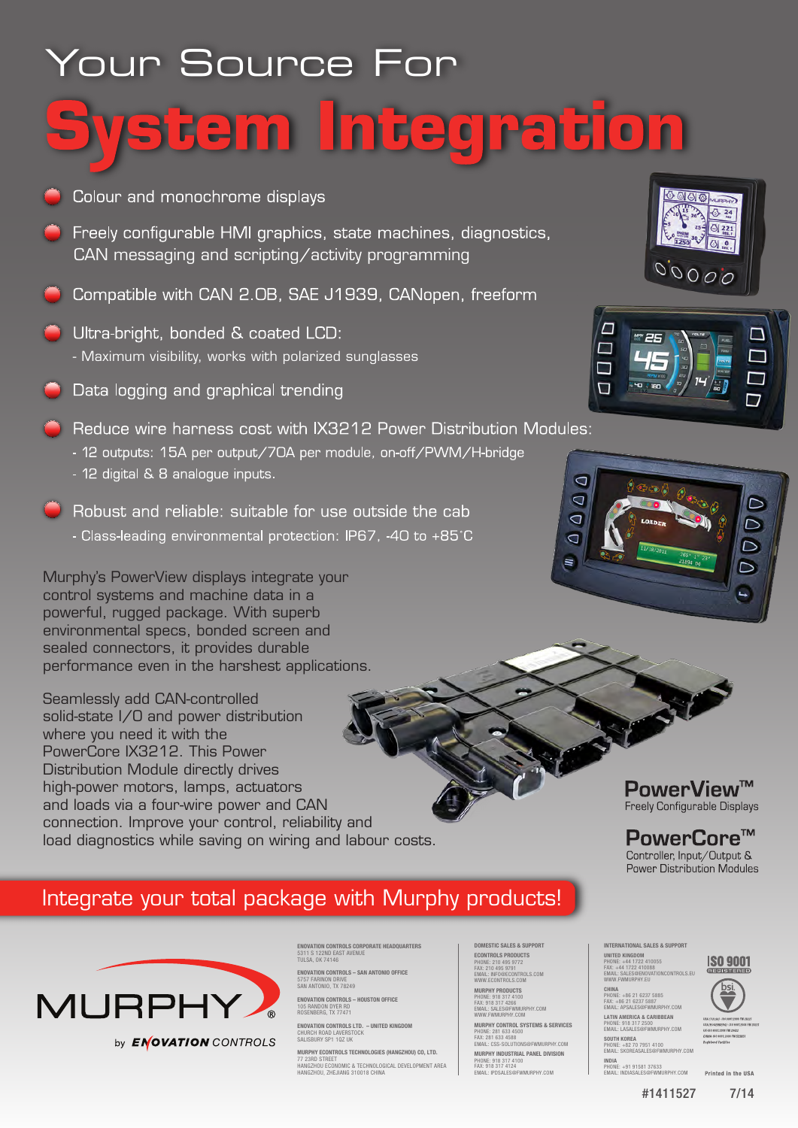# Your Source For tem Integration

- Colour and monochrome displays
- ◯ Freely configurable HMI graphics, state machines, diagnostics, CAN messaging and scripting/activity programming
- Compatible with CAN 2.0B, SAE J1939, CANopen, freeform
- Ultra-bright, bonded & coated LCD: - Maximum visibility, works with polarized sunglasses
- **O** Data logging and graphical trending
- Reduce wire harness cost with IX3212 Power Distribution Modules:
	- 12 outputs: 15A per output/70A per module, on-off/PWM/H-bridge
	- 12 digital & 8 analogue inputs.
- Robust and reliable: suitable for use outside the cab - Class-leading environmental protection: IP67, -40 to +85°C

Murphy's PowerView displays integrate your control systems and machine data in a powerful, rugged package. With superb environmental specs, bonded screen and sealed connectors, it provides durable performance even in the harshest applications.

Seamlessly add CAN-controlled solid-state I/O and power distribution where you need it with the PowerCore IX3212. This Power Distribution Module directly drives high-power motors, lamps, actuators and loads via a four-wire power and CAN connection. Improve your control, reliability and load diagnostics while saving on wiring and labour costs.





**PowerView™** Freely Configurable Displays

PowerCore<sup>™</sup> Controller, Input/Output & **Power Distribution Modules** 

## Integrate your total package with Murphy products!



by **ENOVATION** CONTROLS

**ENOVATION CONTROLS CORPORATE HEADQUARTERS<br>5311 S 122ND EAST AVENUE<br>TULSA, OK 74146 ENOVATION CONTROLS – SAN ANTONIO OFFICE**

5757 FARINON DRIVE SAN ANTONIO, TX 78249 **ENOVATION CONTROLS – HOUSTON OFFICE**

105 RANDON DYER RD ROSENBERG, TX 77471 **ENOVATION CONTROLS LTD. – UNITED KINGDOM** CHURCH ROAD LAVERSTOCK

SALISBURY SP1 107 UK

**MURPHY ECONTROLS TECHNOLOGIES (HANGZHOU) CO, LTD.** 77 23RD STREET HANGZHOU ECONOMIC & TECHNOLOGICAL DEVELOPMENT AREA HANGZHOU, ZHEJIANG 310018 CHINA **DOMESTIC SALES & SUPPORT ECONTROLS PRODUCTS**<br>PHONE: 210 495 9772<br>FAX: 210 495 9791<br>EMAIL: INFO@ECONTROLS.COM<br>WWW.ECONTROLS.COM

**MURPHY PRODUCTS** PHONE: 918 317 4100 FAX: 918 317 4266 EMAIL: SALES@FWMURPHY.COM

WWW.FWMURPHY.COM<br>**MURPHY CONTROL SYSTEMS & SERVICES**<br>PHONE: 281 633 4580<br>EMAIL: CSS-SOLUTIONS@FWMURPHY.COM

**MURPHY INDUSTRIAL PANEL DIVISION** PHONE: 918 317 4100 FAX: 918 317 4124 EMAIL: IPDSALES@FWMURPHY.COM

FAX: +86 21 6237 5887 EMAIL: APSALES@FWMURPHY.COM **LATIN AMERICA & CARIBBEAN** PHONE: 918 317 2500 EMAIL: LASALES@FWMURPHY.COM

**INDIA**

**INTERNATIONAL SALES & SUPPORT UNITED KINGDOM**<br>PHONE: +44 1722 410055<br>FAX: +44 1722 410088<br>EMAIL: SALES@ENOVATIONCONTROLS.EU WWW.FWMURPHY.EU **CHINA** PHONE: +86 21 6237 5885

**SOUTH KOREA** PHONE: +82 70 7951 4100 EMAIL: SKOREASALES@FWMURPHY.COM

PHONE: +91 91581 37633 EMAIL: INDIASALES@FWMURPHY.COM Printed in the USA

**ISO 9001** 

#1411527 7/14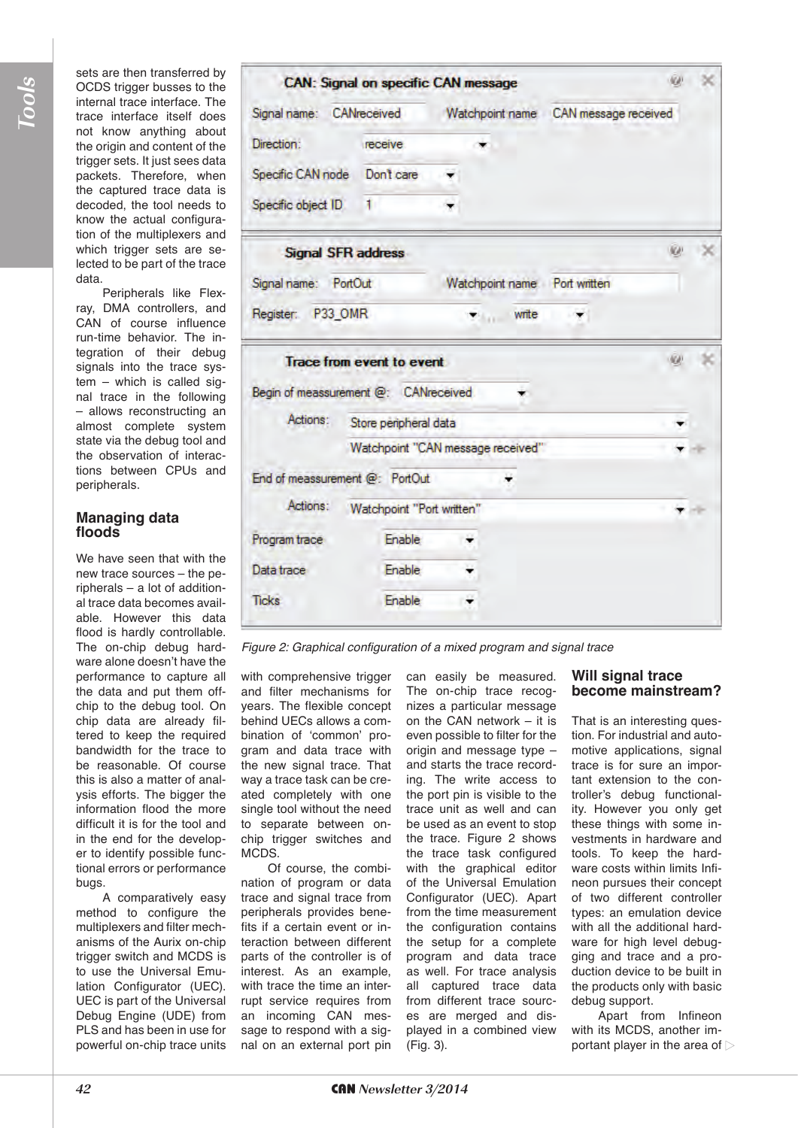sets are then transferred by OCDS trigger busses to the internal trace interface. The trace interface itself does not know anything about the origin and content of the trigger sets. It just sees data packets. Therefore, when the captured trace data is decoded, the tool needs to know the actual configuration of the multiplexers and which trigger sets are selected to be part of the trace data.

Peripherals like Flexray, DMA controllers, and CAN of course influence run-time behavior. The integration of their debug signals into the trace system – which is called signal trace in the following – allows reconstructing an almost complete system state via the debug tool and the observation of interactions between CPUs and peripherals.

#### **Managing data floods**

We have seen that with the new trace sources – the peripherals – a lot of additional trace data becomes available. However this data flood is hardly controllable. The on-chip debug hardware alone doesn't have the performance to capture all the data and put them offchip to the debug tool. On chip data are already filtered to keep the required bandwidth for the trace to be reasonable. Of course this is also a matter of analysis efforts. The bigger the information flood the more difficult it is for the tool and in the end for the developer to identify possible functional errors or performance bugs.

A comparatively easy method to configure the multiplexers and filter mechanisms of the Aurix on-chip trigger switch and MCDS is to use the Universal Emulation Configurator (UEC). UEC is part of the Universal Debug Engine (UDE) from PLS and has been in use for powerful on-chip trace units

|                                      | <b>CAN: Signal on specific CAN message</b> |  |                 |                                      |  |  |
|--------------------------------------|--------------------------------------------|--|-----------------|--------------------------------------|--|--|
| Signal name: CANreceived             |                                            |  |                 | Watchpoint name CAN message received |  |  |
| Direction:                           | receive                                    |  |                 |                                      |  |  |
| Specific CAN node  Don't care        |                                            |  |                 |                                      |  |  |
| Specific object ID                   | 1.                                         |  |                 |                                      |  |  |
| Signal SFR address                   |                                            |  |                 |                                      |  |  |
| Signal name: PortOut                 |                                            |  |                 | Watchpoint name Port written         |  |  |
| Register: P33 OMR                    |                                            |  | $\bullet$ write |                                      |  |  |
|                                      | <b>Trace from event to event</b>           |  |                 |                                      |  |  |
| Begin of meassurement @: CANreceived |                                            |  |                 |                                      |  |  |
| Actions:                             | Store peripheral data                      |  |                 |                                      |  |  |
|                                      | Watchpoint "CAN message received"          |  |                 |                                      |  |  |
| End of meassurement @: PortOut       |                                            |  |                 |                                      |  |  |
|                                      |                                            |  |                 |                                      |  |  |
| Actions:                             | Watchpoint "Port written"                  |  |                 |                                      |  |  |
| Program trace                        | Enable                                     |  |                 |                                      |  |  |
| Data trace                           | Enable                                     |  |                 |                                      |  |  |

*Figure 2: Graphical configuration of a mixed program and signal trace*

with comprehensive trigger and filter mechanisms for years. The flexible concept behind UECs allows a combination of 'common' program and data trace with the new signal trace. That way a trace task can be created completely with one single tool without the need to separate between onchip trigger switches and MCDS.

Of course, the combination of program or data trace and signal trace from peripherals provides benefits if a certain event or interaction between different parts of the controller is of interest. As an example, with trace the time an interrupt service requires from an incoming CAN message to respond with a signal on an external port pin

can easily be measured. The on-chip trace recognizes a particular message on the CAN network – it is even possible to filter for the origin and message type – and starts the trace recording. The write access to the port pin is visible to the trace unit as well and can be used as an event to stop the trace. Figure 2 shows the trace task configured with the graphical editor of the Universal Emulation Configurator (UEC). Apart from the time measurement the configuration contains the setup for a complete program and data trace as well. For trace analysis all captured trace data from different trace sources are merged and displayed in a combined view (Fig. 3).

#### **Will signal trace become mainstream?**

That is an interesting question. For industrial and automotive applications, signal trace is for sure an important extension to the controller's debug functionality. However you only get these things with some investments in hardware and tools. To keep the hardware costs within limits Infineon pursues their concept of two different controller types: an emulation device with all the additional hardware for high level debugging and trace and a production device to be built in the products only with basic debug support.

Apart from Infineon with its MCDS, another important player in the area of